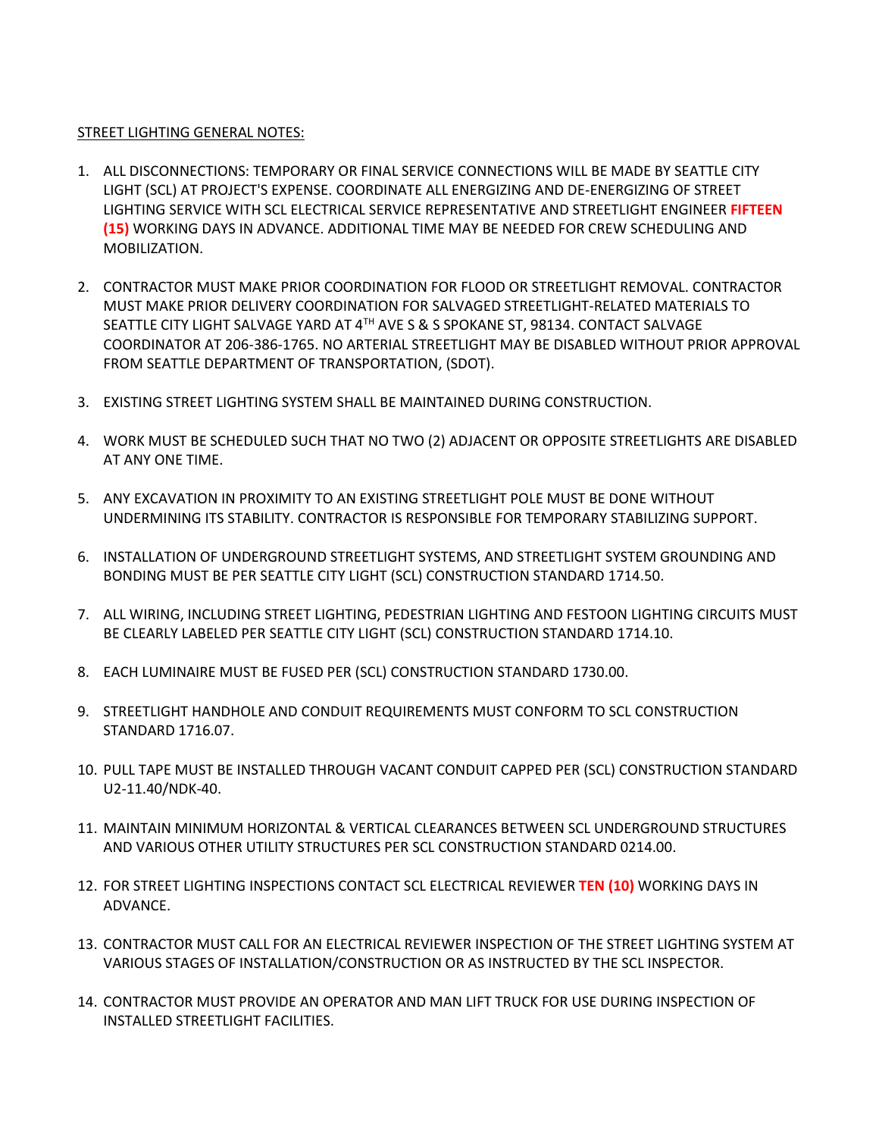## STREET LIGHTING GENERAL NOTES:

- 1. ALL DISCONNECTIONS: TEMPORARY OR FINAL SERVICE CONNECTIONS WILL BE MADE BY SEATTLE CITY LIGHT (SCL) AT PROJECT'S EXPENSE. COORDINATE ALL ENERGIZING AND DE-ENERGIZING OF STREET LIGHTING SERVICE WITH SCL ELECTRICAL SERVICE REPRESENTATIVE AND STREETLIGHT ENGINEER **FIFTEEN (15)** WORKING DAYS IN ADVANCE. ADDITIONAL TIME MAY BE NEEDED FOR CREW SCHEDULING AND MOBILIZATION.
- 2. CONTRACTOR MUST MAKE PRIOR COORDINATION FOR FLOOD OR STREETLIGHT REMOVAL. CONTRACTOR MUST MAKE PRIOR DELIVERY COORDINATION FOR SALVAGED STREETLIGHT-RELATED MATERIALS TO SEATTLE CITY LIGHT SALVAGE YARD AT 4TH AVE S & S SPOKANE ST, 98134. CONTACT SALVAGE COORDINATOR AT 206-386-1765. NO ARTERIAL STREETLIGHT MAY BE DISABLED WITHOUT PRIOR APPROVAL FROM SEATTLE DEPARTMENT OF TRANSPORTATION, (SDOT).
- 3. EXISTING STREET LIGHTING SYSTEM SHALL BE MAINTAINED DURING CONSTRUCTION.
- 4. WORK MUST BE SCHEDULED SUCH THAT NO TWO (2) ADJACENT OR OPPOSITE STREETLIGHTS ARE DISABLED AT ANY ONE TIME.
- 5. ANY EXCAVATION IN PROXIMITY TO AN EXISTING STREETLIGHT POLE MUST BE DONE WITHOUT UNDERMINING ITS STABILITY. CONTRACTOR IS RESPONSIBLE FOR TEMPORARY STABILIZING SUPPORT.
- 6. INSTALLATION OF UNDERGROUND STREETLIGHT SYSTEMS, AND STREETLIGHT SYSTEM GROUNDING AND BONDING MUST BE PER SEATTLE CITY LIGHT (SCL) CONSTRUCTION STANDARD 1714.50.
- 7. ALL WIRING, INCLUDING STREET LIGHTING, PEDESTRIAN LIGHTING AND FESTOON LIGHTING CIRCUITS MUST BE CLEARLY LABELED PER SEATTLE CITY LIGHT (SCL) CONSTRUCTION STANDARD 1714.10.
- 8. EACH LUMINAIRE MUST BE FUSED PER (SCL) CONSTRUCTION STANDARD 1730.00.
- 9. STREETLIGHT HANDHOLE AND CONDUIT REQUIREMENTS MUST CONFORM TO SCL CONSTRUCTION STANDARD 1716.07.
- 10. PULL TAPE MUST BE INSTALLED THROUGH VACANT CONDUIT CAPPED PER (SCL) CONSTRUCTION STANDARD U2-11.40/NDK-40.
- 11. MAINTAIN MINIMUM HORIZONTAL & VERTICAL CLEARANCES BETWEEN SCL UNDERGROUND STRUCTURES AND VARIOUS OTHER UTILITY STRUCTURES PER SCL CONSTRUCTION STANDARD 0214.00.
- 12. FOR STREET LIGHTING INSPECTIONS CONTACT SCL ELECTRICAL REVIEWER **TEN (10)** WORKING DAYS IN ADVANCE.
- 13. CONTRACTOR MUST CALL FOR AN ELECTRICAL REVIEWER INSPECTION OF THE STREET LIGHTING SYSTEM AT VARIOUS STAGES OF INSTALLATION/CONSTRUCTION OR AS INSTRUCTED BY THE SCL INSPECTOR.
- 14. CONTRACTOR MUST PROVIDE AN OPERATOR AND MAN LIFT TRUCK FOR USE DURING INSPECTION OF INSTALLED STREETLIGHT FACILITIES.